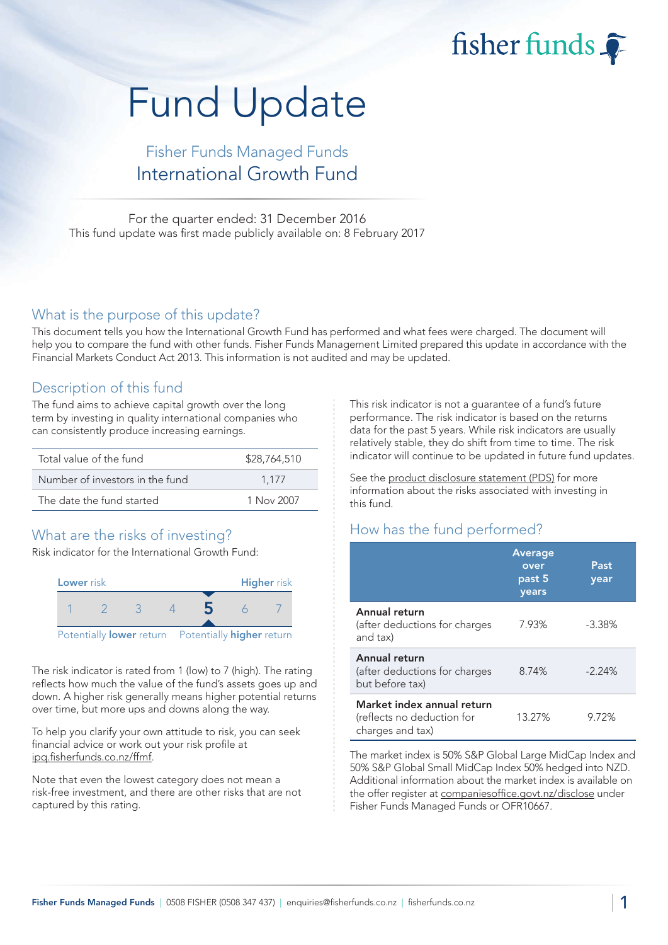fisher funds

# Fund Update

## Fisher Funds Managed Funds International Growth Fund

For the quarter ended: 31 December 2016 This fund update was first made publicly available on: 8 February 2017

#### What is the purpose of this update?

This document tells you how the International Growth Fund has performed and what fees were charged. The document will help you to compare the fund with other funds. Fisher Funds Management Limited prepared this update in accordance with the Financial Markets Conduct Act 2013. This information is not audited and may be updated.

## Description of this fund

The fund aims to achieve capital growth over the long term by investing in quality international companies who can consistently produce increasing earnings.

| Total value of the fund         | \$28,764,510 |
|---------------------------------|--------------|
| Number of investors in the fund | 1.177        |
| The date the fund started       | 1 Nov 2007   |

## What are the risks of investing?

Risk indicator for the International Growth Fund:



The risk indicator is rated from 1 (low) to 7 (high). The rating reflects how much the value of the fund's assets goes up and down. A higher risk generally means higher potential returns over time, but more ups and downs along the way.

To help you clarify your own attitude to risk, you can seek financial advice or work out your risk profile at [ipq.fisherfunds.co.nz/ffmf.](https://ipq.fisherfunds.co.nz/ffmf)

Note that even the lowest category does not mean a risk-free investment, and there are other risks that are not captured by this rating.

This risk indicator is not a guarantee of a fund's future performance. The risk indicator is based on the returns data for the past 5 years. While risk indicators are usually relatively stable, they do shift from time to time. The risk indicator will continue to be updated in future fund updates.

See the [product disclosure statement \(PDS\)](https://fisherfunds.co.nz/assets/PDS/Fisher-Funds-Managed-Funds-PDS.pdf) for more information about the risks associated with investing in this fund.

## How has the fund performed?

|                                                                              | <b>Average</b><br>over<br>past 5<br>years | Past<br>year |
|------------------------------------------------------------------------------|-------------------------------------------|--------------|
| Annual return<br>(after deductions for charges<br>and tax)                   | 7.93%                                     | $-3.38%$     |
| Annual return<br>(after deductions for charges<br>but before tax)            | 8.74%                                     | $-2.24%$     |
| Market index annual return<br>(reflects no deduction for<br>charges and tax) | 13.27%                                    | 9.72%        |

The market index is 50% S&P Global Large MidCap Index and 50% S&P Global Small MidCap Index 50% hedged into NZD. Additional information about the market index is available on the offer register at [companiesoffice.govt.nz/disclose](http://companiesoffice.govt.nz/disclose) under Fisher Funds Managed Funds or OFR10667.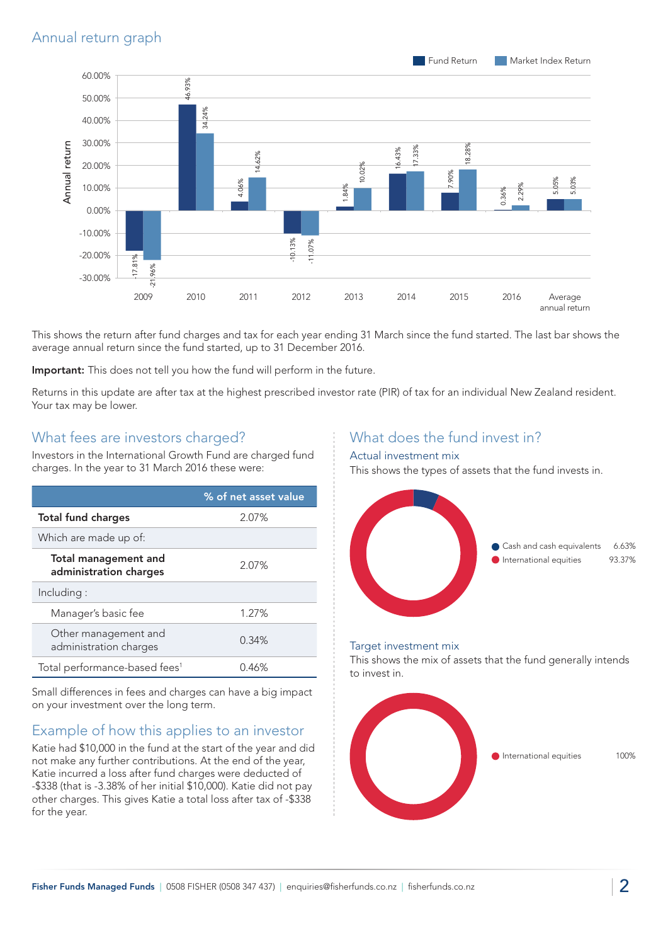

This shows the return after fund charges and tax for each year ending 31 March since the fund started. The last bar shows the average annual return since the fund started, up to 31 December 2016.

Important: This does not tell you how the fund will perform in the future.

Returns in this update are after tax at the highest prescribed investor rate (PIR) of tax for an individual New Zealand resident. Your tax may be lower.

## What fees are investors charged?

Investors in the International Growth Fund are charged fund charges. In the year to 31 March 2016 these were:

|                                                       | % of net asset value |
|-------------------------------------------------------|----------------------|
| <b>Total fund charges</b><br>2.07%                    |                      |
| Which are made up of:                                 |                      |
| <b>Total management and</b><br>administration charges | 2.07%                |
| Including:                                            |                      |
| Manager's basic fee                                   | 1.27%                |
| Other management and<br>administration charges        | 0.34%                |
| Total performance-based fees <sup>1</sup>             | 0.46%                |

Small differences in fees and charges can have a big impact on your investment over the long term.

## Example of how this applies to an investor

Katie had \$10,000 in the fund at the start of the year and did not make any further contributions. At the end of the year, Katie incurred a loss after fund charges were deducted of -\$338 (that is -3.38% of her initial \$10,000). Katie did not pay other charges. This gives Katie a total loss after tax of -\$338 for the year.

## What does the fund invest in?

#### Actual investment mix

This shows the types of assets that the fund invests in.



#### Target investment mix

This shows the mix of assets that the fund generally intends to invest in.